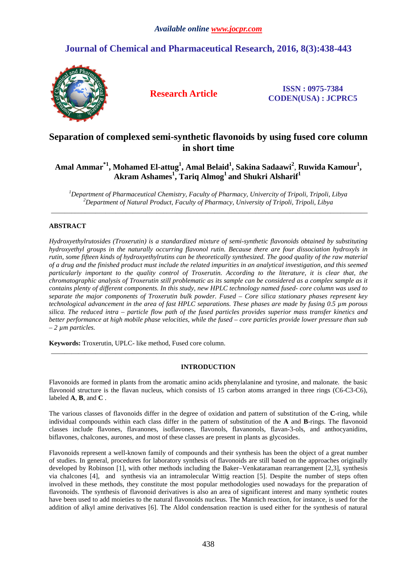# **Journal of Chemical and Pharmaceutical Research, 2016, 8(3):438-443**



**Research Article ISSN : 0975-7384 CODEN(USA) : JCPRC5**

# **Separation of complexed semi-synthetic flavonoids by using fused core column in short time**

# **Amal Ammar\*1, Mohamed El-attug<sup>1</sup> , Amal Belaid<sup>1</sup> , Sakina Sadaawi<sup>2</sup>** , **Ruwida Kamour<sup>1</sup> , Akram Ashames<sup>1</sup> , Tariq Almog<sup>1</sup>and Shukri Alsharif<sup>1</sup>**

*<sup>1</sup>Department of Pharmaceutical Chemistry, Faculty of Pharmacy, Univercity of Tripoli, Tripoli, Libya <sup>2</sup>Department of Natural Product, Faculty of Pharmacy, University of Tripoli, Tripoli, Libya*  \_\_\_\_\_\_\_\_\_\_\_\_\_\_\_\_\_\_\_\_\_\_\_\_\_\_\_\_\_\_\_\_\_\_\_\_\_\_\_\_\_\_\_\_\_\_\_\_\_\_\_\_\_\_\_\_\_\_\_\_\_\_\_\_\_\_\_\_\_\_\_\_\_\_\_\_\_\_\_\_\_\_\_\_\_\_\_\_\_\_\_\_\_

## **ABSTRACT**

*Hydroxyethylrutosides (Troxerutin) is a standardized mixture of semi-synthetic flavonoids obtained by substituting hydroxyethyl groups in the naturally occurring flavonol rutin. Because there are four dissociation hydroxyls in rutin, some fifteen kinds of hydroxyethylrutins can be theoretically synthesized. The good quality of the raw material of a drug and the finished product must include the related impurities in an analytical investigation, and this seemed particularly important to the quality control of Troxerutin. According to the literature, it is clear that, the chromatographic analysis of Troxerutin still problematic as its sample can be considered as a complex sample as it contains plenty of different components. In this study, new HPLC technology named fused- core column was used to separate the major components of Troxerutin bulk powder. Fused – Core silica stationary phases represent key technological advancement in the area of fast HPLC separations. These phases are made by fusing 0.5 µm porous silica. The reduced intra – particle flow path of the fused particles provides superior mass transfer kinetics and better performance at high mobile phase velocities, while the fused – core particles provide lower pressure than sub – 2 µm particles.* 

**Keywords:** Troxerutin, UPLC- like method, Fused core column.

### **INTRODUCTION**

\_\_\_\_\_\_\_\_\_\_\_\_\_\_\_\_\_\_\_\_\_\_\_\_\_\_\_\_\_\_\_\_\_\_\_\_\_\_\_\_\_\_\_\_\_\_\_\_\_\_\_\_\_\_\_\_\_\_\_\_\_\_\_\_\_\_\_\_\_\_\_\_\_\_\_\_\_\_\_\_\_\_\_\_\_\_\_\_\_\_\_\_\_

Flavonoids are formed in plants from the aromatic amino acids phenylalanine and tyrosine, and malonate. the basic flavonoid structure is the flavan nucleus, which consists of 15 carbon atoms arranged in three rings (C6-C3-C6), labeled **A**, **B**, and **C** .

The various classes of flavonoids differ in the degree of oxidation and pattern of substitution of the **C**-ring, while individual compounds within each class differ in the pattern of substitution of the **A** and **B**-rings. The flavonoid classes include flavones, flavanones, isoflavones, flavonols, flavanonols, flavan-3-ols, and anthocyanidins, biflavones, chalcones, aurones, and most of these classes are present in plants as glycosides.

Flavonoids represent a well-known family of compounds and their synthesis has been the object of a great number of studies. In general, procedures for laboratory synthesis of flavonoids are still based on the approaches originally developed by Robinson [1], with other methods including the Baker–Venkataraman rearrangement [2,3], synthesis via chalcones [4], and synthesis via an intramolecular Wittig reaction [5]. Despite the number of steps often involved in these methods, they constitute the most popular methodologies used nowadays for the preparation of flavonoids. The synthesis of flavonoid derivatives is also an area of significant interest and many synthetic routes have been used to add moieties to the natural flavonoids nucleus. The Mannich reaction, for instance, is used for the addition of alkyl amine derivatives [6]. The Aldol condensation reaction is used either for the synthesis of natural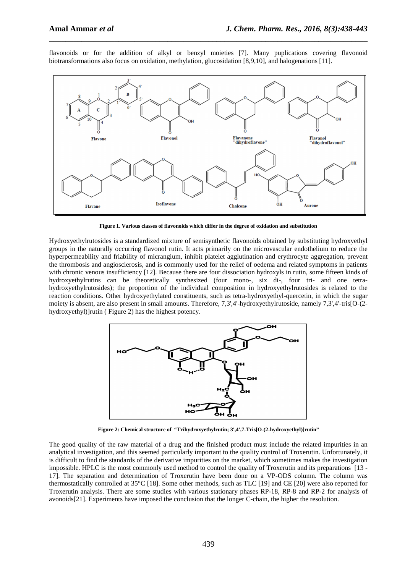flavonoids or for the addition of alkyl or benzyl moieties [7]. Many puplications covering flavonoid biotransformations also focus on oxidation, methylation, glucosidation [8,9,10], and halogenations [11].

\_\_\_\_\_\_\_\_\_\_\_\_\_\_\_\_\_\_\_\_\_\_\_\_\_\_\_\_\_\_\_\_\_\_\_\_\_\_\_\_\_\_\_\_\_\_\_\_\_\_\_\_\_\_\_\_\_\_\_\_\_\_\_\_\_\_\_\_\_\_\_\_\_\_\_\_\_\_



**Figure 1. Various classes of flavonoids which differ in the degree of oxidation and substitution** 

Hydroxyethylrutosides is a standardized mixture of semisynthetic flavonoids obtained by substituting hydroxyethyl groups in the naturally occurring flavonol rutin. It acts primarily on the microvascular endothelium to reduce the hyperpermeability and friability of micrangium, inhibit platelet agglutination and erythrocyte aggregation, prevent the thrombosis and angiosclerosis, and is commonly used for the relief of oedema and related symptoms in patients with chronic venous insufficiency [12]. Because there are four dissociation hydroxyls in rutin, some fifteen kinds of hydroxyethylrutins can be theoretically synthesized (four mono-, six di-, four tri- and one tetrahydroxyethylrutosides); the proportion of the individual composition in hydroxyethylrutosides is related to the reaction conditions. Other hydroxyethylated constituents, such as tetra-hydroxyethyl-quercetin, in which the sugar moiety is absent, are also present in small amounts. Therefore, 7,3',4'-hydroxyethylrutoside, namely 7,3',4'-tris[O-(2 hydroxyethyl)]rutin (Figure 2) has the highest potency.



**Figure 2: Chemical structure of "Trihydroxyethylrutin; 3',4',7-Tris[O-(2-hydroxyethyl)]rutin"**

The good quality of the raw material of a drug and the finished product must include the related impurities in an analytical investigation, and this seemed particularly important to the quality control of Troxerutin. Unfortunately, it is difficult to find the standards of the derivative impurities on the market, which sometimes makes the investigation impossible. HPLC is the most commonly used method to control the quality of Troxerutin and its preparations [13 - 17]. The separation and determination of Troxerutin have been done on a VP-ODS column. The column was thermostatically controlled at 35°C [18]. Some other methods, such as TLC [19] and CE [20] were also reported for Troxerutin analysis. There are some studies with various stationary phases RP-18, RP-8 and RP-2 for analysis of avonoids[21]. Experiments have imposed the conclusion that the longer C-chain, the higher the resolution.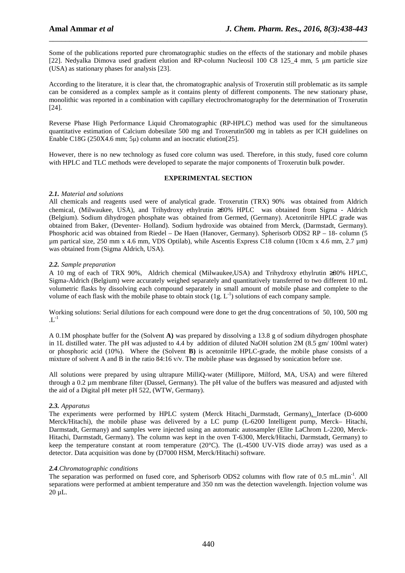Some of the publications reported pure chromatographic studies on the effects of the stationary and mobile phases [22]. Nedyalka Dimova used gradient elution and RP-column Nucleosil 100 C8 125\_4 mm, 5 µm particle size (USA) as stationary phases for analysis [23].

\_\_\_\_\_\_\_\_\_\_\_\_\_\_\_\_\_\_\_\_\_\_\_\_\_\_\_\_\_\_\_\_\_\_\_\_\_\_\_\_\_\_\_\_\_\_\_\_\_\_\_\_\_\_\_\_\_\_\_\_\_\_\_\_\_\_\_\_\_\_\_\_\_\_\_\_\_\_

According to the literature, it is clear that, the chromatographic analysis of Troxerutin still problematic as its sample can be considered as a complex sample as it contains plenty of different components. The new stationary phase, monolithic was reported in a combination with capillary electrochromatography for the determination of Troxerutin [24].

Reverse Phase High Performance Liquid Chromatographic (RP-HPLC) method was used for the simultaneous quantitative estimation of Calcium dobesilate 500 mg and Troxerutin500 mg in tablets as per ICH guidelines on Enable C18G (250X4.6 mm; 5µ) column and an isocratic elution [25].

However, there is no new technology as fused core column was used. Therefore, in this study, fused core column with HPLC and TLC methods were developed to separate the major components of Troxerutin bulk powder.

### **EXPERIMENTAL SECTION**

### *2.1. Material and solutions*

All chemicals and reagents used were of analytical grade. Troxerutin (TRX) 90% was obtained from Aldrich chemical, (Milwaukee, USA), and Trihydroxy ethylrutin ≥80% HPLC was obtained from Sigma - Aldrich (Belgium). Sodium dihydrogen phosphate was obtained from Germed, (Germany). Acetonitrile HPLC grade was obtained from Baker, (Deventer- Holland). Sodium hydroxide was obtained from Merck, (Darmstadt, Germany). Phosphoric acid was obtained from Riedel – De Haen (Hanover, Germany). Spherisorb ODS2 RP – 18- column (5 µm partical size, 250 mm x 4.6 mm, VDS Optilab), while Ascentis Express C18 column (10cm x 4.6 mm, 2.7 µm) was obtained from (Sigma Aldrich, USA).

### *2.2. Sample preparation*

A 10 mg of each of TRX 90%, Aldrich chemical (Milwaukee,USA) and Trihydroxy ethylrutin ≥80% HPLC, Sigma-Aldrich (Belgium) were accurately weighed separately and quantitatively transferred to two different 10 mL volumetric flasks by dissolving each compound separately in small amount of mobile phase and complete to the volume of each flask with the mobile phase to obtain stock  $(1g, L<sup>-1</sup>)$  solutions of each company sample.

Working solutions: Serial dilutions for each compound were done to get the drug concentrations of 50, 100, 500 mg  $.L^{-1}$ 

A 0.1M phosphate buffer for the (Solvent **A)** was prepared by dissolving a 13.8 g of sodium dihydrogen phosphate in 1L distilled water. The pH was adjusted to 4.4 by addition of diluted NaOH solution 2M (8.5 gm/ 100ml water) or phosphoric acid (10%). Where the (Solvent **B)** is acetonitrile HPLC-grade, the mobile phase consists of a mixture of solvent A and B in the ratio  $84:16 \text{ v/v}$ . The mobile phase was degassed by sonication before use.

All solutions were prepared by using ultrapure MilliQ-water (Millipore, Milford, MA, USA) and were filtered through a 0.2 µm membrane filter (Dassel, Germany). The pH value of the buffers was measured and adjusted with the aid of a Digital pH meter pH 522, (WTW, Germany).

### *2.3. Apparatus*

The experiments were performed by HPLC system (Merck Hitachi Darmstadt, Germany), Interface (D-6000 Merck/Hitachi), the mobile phase was delivered by a LC pump (L-6200 Intelligent pump, Merck– Hitachi, Darmstadt, Germany) and samples were injected using an automatic autosampler (Elite LaChrom L-2200, Merck-Hitachi, Darmstadt, Germany). The column was kept in the oven T-6300, Merck/Hitachi, Darmstadt, Germany) to keep the temperature constant at room temperature (20°C). The (L-4500 UV-VIS diode array) was used as a detector. Data acquisition was done by (D7000 HSM, Merck/Hitachi) software.

### *2.4.Chromatographic conditions*

The separation was performed on fused core, and Spherisorb ODS2 columns with flow rate of 0.5 mL.min-1. All separations were performed at ambient temperature and 350 nm was the detection wavelength. Injection volume was 20 µL.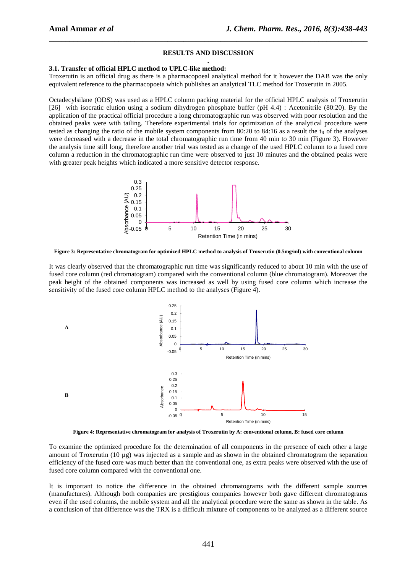#### **RESULTS AND DISCUSSION .**

\_\_\_\_\_\_\_\_\_\_\_\_\_\_\_\_\_\_\_\_\_\_\_\_\_\_\_\_\_\_\_\_\_\_\_\_\_\_\_\_\_\_\_\_\_\_\_\_\_\_\_\_\_\_\_\_\_\_\_\_\_\_\_\_\_\_\_\_\_\_\_\_\_\_\_\_\_\_

#### **3.1. Transfer of official HPLC method to UPLC-like method:**

Troxerutin is an official drug as there is a pharmacopoeal analytical method for it however the DAB was the only equivalent reference to the pharmacopoeia which publishes an analytical TLC method for Troxerutin in 2005.

Octadecylsilane (ODS) was used as a HPLC column packing material for the official HPLC analysis of Troxerutin [26] with isocratic elution using a sodium dihydrogen phosphate buffer (pH 4.4) : Acetonitrile (80:20). By the application of the practical official procedure a long chromatographic run was observed with poor resolution and the obtained peaks were with tailing. Therefore experimental trials for optimization of the analytical procedure were tested as changing the ratio of the mobile system components from 80:20 to 84:16 as a result the  $t<sub>R</sub>$  of the analyses were decreased with a decrease in the total chromatographic run time from 40 min to 30 min (Figure 3). However the analysis time still long, therefore another trial was tested as a change of the used HPLC column to a fused core column a reduction in the chromatographic run time were observed to just 10 minutes and the obtained peaks were with greater peak heights which indicated a more sensitive detector response.



**Figure 3: Representative chromatogram for optimized HPLC method to analysis of Troxerutin (0.5mg/ml) with conventional column** 

It was clearly observed that the chromatographic run time was significantly reduced to about 10 min with the use of fused core column (red chromatogram) compared with the conventional column (blue chromatogram). Moreover the peak height of the obtained components was increased as well by using fused core column which increase the sensitivity of the fused core column HPLC method to the analyses (Figure 4).



**Figure 4: Representative chromatogram for analysis of Troxerutin by A: conventional column, B: fused core column** 

To examine the optimized procedure for the determination of all components in the presence of each other a large amount of Troxerutin (10 µg) was injected as a sample and as shown in the obtained chromatogram the separation efficiency of the fused core was much better than the conventional one, as extra peaks were observed with the use of fused core column compared with the conventional one.

It is important to notice the difference in the obtained chromatograms with the different sample sources (manufactures). Although both companies are prestigious companies however both gave different chromatograms even if the used columns, the mobile system and all the analytical procedure were the same as shown in the table. As a conclusion of that difference was the TRX is a difficult mixture of components to be analyzed as a different source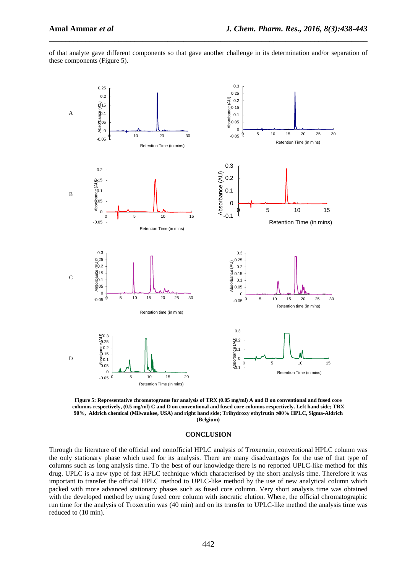of that analyte gave different components so that gave another challenge in its determination and/or separation of these components (Figure 5).

\_\_\_\_\_\_\_\_\_\_\_\_\_\_\_\_\_\_\_\_\_\_\_\_\_\_\_\_\_\_\_\_\_\_\_\_\_\_\_\_\_\_\_\_\_\_\_\_\_\_\_\_\_\_\_\_\_\_\_\_\_\_\_\_\_\_\_\_\_\_\_\_\_\_\_\_\_\_



**Figure 5: Representative chromatograms for analysis of TRX (0.05 mg/ml) A and B on conventional and fused core columns respectively, (0.5 mg/ml) C and D on conventional and fused core columns respectively. Left hand side; TRX 90%, Aldrich chemical (Milwaukee, USA) and right hand side; Trihydroxy ethylrutin** ≥**80% HPLC, Sigma-Aldrich (Belgium)** 

#### **CONCLUSION**

Through the literature of the official and nonofficial HPLC analysis of Troxerutin, conventional HPLC column was the only stationary phase which used for its analysis. There are many disadvantages for the use of that type of columns such as long analysis time. To the best of our knowledge there is no reported UPLC-like method for this drug. UPLC is a new type of fast HPLC technique which characterised by the short analysis time. Therefore it was important to transfer the official HPLC method to UPLC-like method by the use of new analytical column which packed with more advanced stationary phases such as fused core column. Very short analysis time was obtained with the developed method by using fused core column with isocratic elution. Where, the official chromatographic run time for the analysis of Troxerutin was (40 min) and on its transfer to UPLC-like method the analysis time was reduced to (10 min).